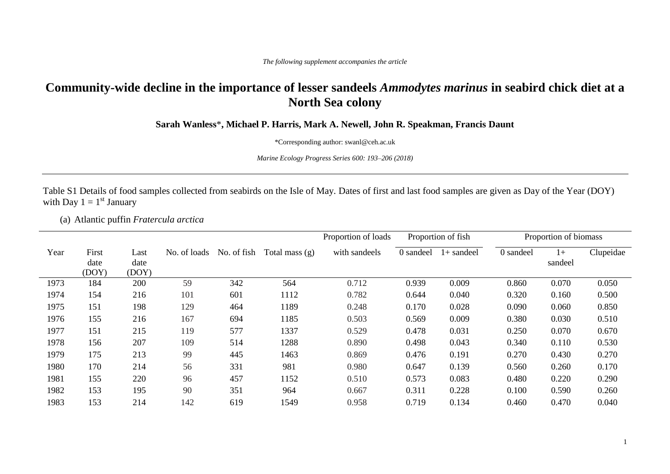## **Community-wide decline in the importance of lesser sandeels** *Ammodytes marinus* **in seabird chick diet at a North Sea colony**

**Sarah Wanless**\***, Michael P. Harris, Mark A. Newell, John R. Speakman, Francis Daunt**

\*Corresponding author: swanl@ceh.ac.uk

*Marine Ecology Progress Series 600: 193–206 (2018)*

Table S1 Details of food samples collected from seabirds on the Isle of May. Dates of first and last food samples are given as Day of the Year (DOY) with Day  $1 = 1^{st}$  January

(a) Atlantic puffin *Fratercula arctica*

|      |                        |                       |              |             |                  | Proportion of loads |           | Proportion of fish |           | Proportion of biomass |           |
|------|------------------------|-----------------------|--------------|-------------|------------------|---------------------|-----------|--------------------|-----------|-----------------------|-----------|
| Year | First<br>date<br>(DOY) | Last<br>date<br>(DOY) | No. of loads | No. of fish | Total mass $(g)$ | with sandeels       | 0 sandeel | $1+$ sandeel       | 0 sandeel | $1+$<br>sandeel       | Clupeidae |
| 1973 | 184                    | 200                   | 59           | 342         | 564              | 0.712               | 0.939     | 0.009              | 0.860     | 0.070                 | 0.050     |
| 1974 | 154                    | 216                   | 101          | 601         | 1112             | 0.782               | 0.644     | 0.040              | 0.320     | 0.160                 | 0.500     |
| 1975 | 151                    | 198                   | 129          | 464         | 1189             | 0.248               | 0.170     | 0.028              | 0.090     | 0.060                 | 0.850     |
| 1976 | 155                    | 216                   | 167          | 694         | 1185             | 0.503               | 0.569     | 0.009              | 0.380     | 0.030                 | 0.510     |
| 1977 | 151                    | 215                   | 119          | 577         | 1337             | 0.529               | 0.478     | 0.031              | 0.250     | 0.070                 | 0.670     |
| 1978 | 156                    | 207                   | 109          | 514         | 1288             | 0.890               | 0.498     | 0.043              | 0.340     | 0.110                 | 0.530     |
| 1979 | 175                    | 213                   | 99           | 445         | 1463             | 0.869               | 0.476     | 0.191              | 0.270     | 0.430                 | 0.270     |
| 1980 | 170                    | 214                   | 56           | 331         | 981              | 0.980               | 0.647     | 0.139              | 0.560     | 0.260                 | 0.170     |
| 1981 | 155                    | 220                   | 96           | 457         | 1152             | 0.510               | 0.573     | 0.083              | 0.480     | 0.220                 | 0.290     |
| 1982 | 153                    | 195                   | 90           | 351         | 964              | 0.667               | 0.311     | 0.228              | 0.100     | 0.590                 | 0.260     |
| 1983 | 153                    | 214                   | 142          | 619         | 1549             | 0.958               | 0.719     | 0.134              | 0.460     | 0.470                 | 0.040     |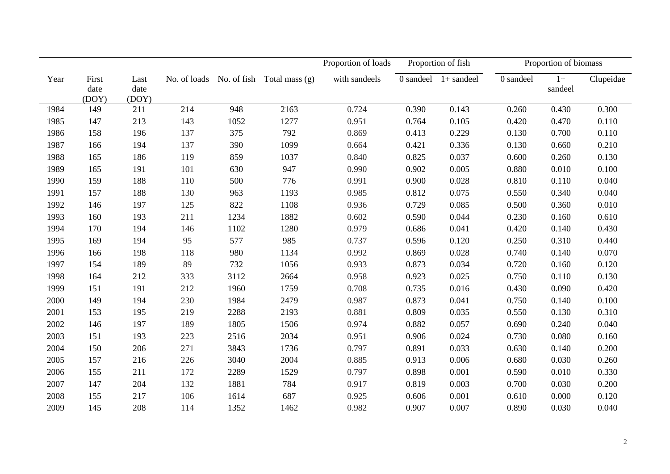|      |                        |                       |              |             |                | Proportion of loads |           | Proportion of fish |           | Proportion of biomass |           |
|------|------------------------|-----------------------|--------------|-------------|----------------|---------------------|-----------|--------------------|-----------|-----------------------|-----------|
| Year | First<br>date<br>(DOY) | Last<br>date<br>(DOY) | No. of loads | No. of fish | Total mass (g) | with sandeels       | 0 sandeel | $1+$ sandeel       | 0 sandeel | $1+$<br>sandeel       | Clupeidae |
| 1984 | 149                    | 211                   | 214          | 948         | 2163           | 0.724               | 0.390     | 0.143              | 0.260     | 0.430                 | 0.300     |
| 1985 | 147                    | 213                   | 143          | 1052        | 1277           | 0.951               | 0.764     | 0.105              | 0.420     | 0.470                 | 0.110     |
| 1986 | 158                    | 196                   | 137          | 375         | 792            | 0.869               | 0.413     | 0.229              | 0.130     | 0.700                 | 0.110     |
| 1987 | 166                    | 194                   | 137          | 390         | 1099           | 0.664               | 0.421     | 0.336              | 0.130     | 0.660                 | 0.210     |
| 1988 | 165                    | 186                   | 119          | 859         | 1037           | 0.840               | 0.825     | 0.037              | 0.600     | 0.260                 | 0.130     |
| 1989 | 165                    | 191                   | 101          | 630         | 947            | 0.990               | 0.902     | 0.005              | 0.880     | 0.010                 | 0.100     |
| 1990 | 159                    | 188                   | 110          | 500         | 776            | 0.991               | 0.900     | 0.028              | 0.810     | 0.110                 | 0.040     |
| 1991 | 157                    | 188                   | 130          | 963         | 1193           | 0.985               | 0.812     | 0.075              | 0.550     | 0.340                 | 0.040     |
| 1992 | 146                    | 197                   | 125          | 822         | 1108           | 0.936               | 0.729     | 0.085              | 0.500     | 0.360                 | 0.010     |
| 1993 | 160                    | 193                   | 211          | 1234        | 1882           | 0.602               | 0.590     | 0.044              | 0.230     | 0.160                 | 0.610     |
| 1994 | 170                    | 194                   | 146          | 1102        | 1280           | 0.979               | 0.686     | 0.041              | 0.420     | 0.140                 | 0.430     |
| 1995 | 169                    | 194                   | 95           | 577         | 985            | 0.737               | 0.596     | 0.120              | 0.250     | 0.310                 | 0.440     |
| 1996 | 166                    | 198                   | 118          | 980         | 1134           | 0.992               | 0.869     | 0.028              | 0.740     | 0.140                 | 0.070     |
| 1997 | 154                    | 189                   | 89           | 732         | 1056           | 0.933               | 0.873     | 0.034              | 0.720     | 0.160                 | 0.120     |
| 1998 | 164                    | 212                   | 333          | 3112        | 2664           | 0.958               | 0.923     | 0.025              | 0.750     | 0.110                 | 0.130     |
| 1999 | 151                    | 191                   | 212          | 1960        | 1759           | 0.708               | 0.735     | 0.016              | 0.430     | 0.090                 | 0.420     |
| 2000 | 149                    | 194                   | 230          | 1984        | 2479           | 0.987               | 0.873     | 0.041              | 0.750     | 0.140                 | 0.100     |
| 2001 | 153                    | 195                   | 219          | 2288        | 2193           | 0.881               | 0.809     | 0.035              | 0.550     | 0.130                 | 0.310     |
| 2002 | 146                    | 197                   | 189          | 1805        | 1506           | 0.974               | 0.882     | 0.057              | 0.690     | 0.240                 | 0.040     |
| 2003 | 151                    | 193                   | 223          | 2516        | 2034           | 0.951               | 0.906     | 0.024              | 0.730     | 0.080                 | 0.160     |
| 2004 | 150                    | 206                   | 271          | 3843        | 1736           | 0.797               | 0.891     | 0.033              | 0.630     | 0.140                 | 0.200     |
| 2005 | 157                    | 216                   | 226          | 3040        | 2004           | 0.885               | 0.913     | 0.006              | 0.680     | 0.030                 | 0.260     |
| 2006 | 155                    | 211                   | 172          | 2289        | 1529           | 0.797               | 0.898     | 0.001              | 0.590     | 0.010                 | 0.330     |
| 2007 | 147                    | 204                   | 132          | 1881        | 784            | 0.917               | 0.819     | 0.003              | 0.700     | 0.030                 | 0.200     |
| 2008 | 155                    | 217                   | 106          | 1614        | 687            | 0.925               | 0.606     | 0.001              | 0.610     | 0.000                 | 0.120     |
| 2009 | 145                    | 208                   | 114          | 1352        | 1462           | 0.982               | 0.907     | 0.007              | 0.890     | 0.030                 | 0.040     |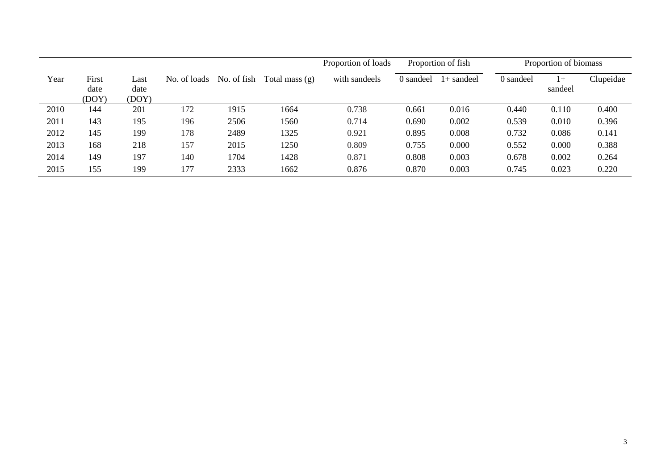|      |                        |                       |              |             |                | Proportion of loads |           | Proportion of fish |           | Proportion of biomass |           |
|------|------------------------|-----------------------|--------------|-------------|----------------|---------------------|-----------|--------------------|-----------|-----------------------|-----------|
| Year | First<br>date<br>(DOY) | Last<br>date<br>(DOY) | No. of loads | No. of fish | Total mass (g) | with sandeels       | 0 sandeel | l + sandeel        | 0 sandeel | $1+$<br>sandeel       | Clupeidae |
| 2010 | 144                    | 201                   | 172          | 1915        | 1664           | 0.738               | 0.661     | 0.016              | 0.440     | 0.110                 | 0.400     |
| 2011 | 143                    | 195                   | 196          | 2506        | 1560           | 0.714               | 0.690     | 0.002              | 0.539     | 0.010                 | 0.396     |
| 2012 | 145                    | 199                   | 178          | 2489        | 1325           | 0.921               | 0.895     | 0.008              | 0.732     | 0.086                 | 0.141     |
| 2013 | 168                    | 218                   | 157          | 2015        | 1250           | 0.809               | 0.755     | 0.000              | 0.552     | 0.000                 | 0.388     |
| 2014 | 149                    | 197                   | 140          | 1704        | 1428           | 0.871               | 0.808     | 0.003              | 0.678     | 0.002                 | 0.264     |
| 2015 | 155                    | 199                   | 177          | 2333        | 1662           | 0.876               | 0.870     | 0.003              | 0.745     | 0.023                 | 0.220     |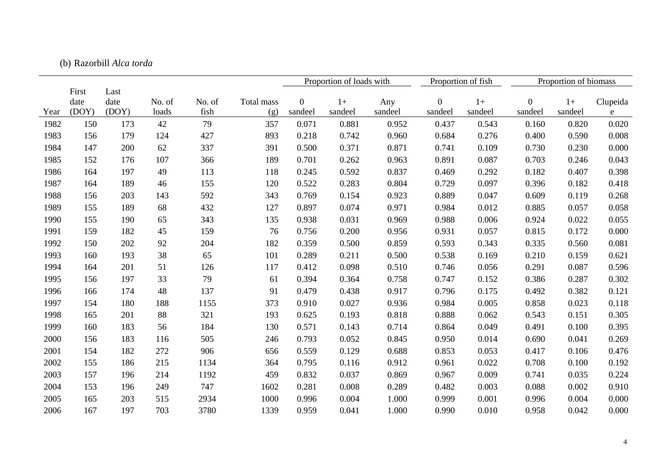|      |       |       |        |        |            |                  | Proportion of loads with |         | Proportion of fish |         |                | Proportion of biomass |          |
|------|-------|-------|--------|--------|------------|------------------|--------------------------|---------|--------------------|---------|----------------|-----------------------|----------|
|      | First | Last  |        |        |            |                  |                          |         |                    |         |                |                       |          |
|      | date  | date  | No. of | No. of | Total mass | $\boldsymbol{0}$ | $1+$                     | Any     | $\boldsymbol{0}$   | $1+$    | $\overline{0}$ | $1+$                  | Clupeida |
| Year | (DOY) | (DOY) | loads  | fish   | (g)        | sandeel          | sandeel                  | sandeel | sandeel            | sandeel | sandeel        | sandeel               | e        |
| 1982 | 150   | 173   | 42     | 79     | 357        | 0.071            | 0.881                    | 0.952   | 0.437              | 0.543   | 0.160          | 0.820                 | 0.020    |
| 1983 | 156   | 179   | 124    | 427    | 893        | 0.218            | 0.742                    | 0.960   | 0.684              | 0.276   | 0.400          | 0.590                 | 0.008    |
| 1984 | 147   | 200   | 62     | 337    | 391        | 0.500            | 0.371                    | 0.871   | 0.741              | 0.109   | 0.730          | 0.230                 | 0.000    |
| 1985 | 152   | 176   | 107    | 366    | 189        | 0.701            | 0.262                    | 0.963   | 0.891              | 0.087   | 0.703          | 0.246                 | 0.043    |
| 1986 | 164   | 197   | 49     | 113    | 118        | 0.245            | 0.592                    | 0.837   | 0.469              | 0.292   | 0.182          | 0.407                 | 0.398    |
| 1987 | 164   | 189   | 46     | 155    | 120        | 0.522            | 0.283                    | 0.804   | 0.729              | 0.097   | 0.396          | 0.182                 | 0.418    |
| 1988 | 156   | 203   | 143    | 592    | 343        | 0.769            | 0.154                    | 0.923   | 0.889              | 0.047   | 0.609          | 0.119                 | 0.268    |
| 1989 | 155   | 189   | 68     | 432    | 127        | 0.897            | 0.074                    | 0.971   | 0.984              | 0.012   | 0.885          | 0.057                 | 0.058    |
| 1990 | 155   | 190   | 65     | 343    | 135        | 0.938            | 0.031                    | 0.969   | 0.988              | 0.006   | 0.924          | 0.022                 | 0.055    |
| 1991 | 159   | 182   | 45     | 159    | 76         | 0.756            | 0.200                    | 0.956   | 0.931              | 0.057   | 0.815          | 0.172                 | 0.000    |
| 1992 | 150   | 202   | 92     | 204    | 182        | 0.359            | 0.500                    | 0.859   | 0.593              | 0.343   | 0.335          | 0.560                 | 0.081    |
| 1993 | 160   | 193   | 38     | 65     | 101        | 0.289            | 0.211                    | 0.500   | 0.538              | 0.169   | 0.210          | 0.159                 | 0.621    |
| 1994 | 164   | 201   | 51     | 126    | 117        | 0.412            | 0.098                    | 0.510   | 0.746              | 0.056   | 0.291          | 0.087                 | 0.596    |
| 1995 | 156   | 197   | 33     | 79     | 61         | 0.394            | 0.364                    | 0.758   | 0.747              | 0.152   | 0.386          | 0.287                 | 0.302    |
| 1996 | 166   | 174   | 48     | 137    | 91         | 0.479            | 0.438                    | 0.917   | 0.796              | 0.175   | 0.492          | 0.382                 | 0.121    |
| 1997 | 154   | 180   | 188    | 1155   | 373        | 0.910            | 0.027                    | 0.936   | 0.984              | 0.005   | 0.858          | 0.023                 | 0.118    |
| 1998 | 165   | 201   | 88     | 321    | 193        | 0.625            | 0.193                    | 0.818   | 0.888              | 0.062   | 0.543          | 0.151                 | 0.305    |
| 1999 | 160   | 183   | 56     | 184    | 130        | 0.571            | 0.143                    | 0.714   | 0.864              | 0.049   | 0.491          | 0.100                 | 0.395    |
| 2000 | 156   | 183   | 116    | 505    | 246        | 0.793            | 0.052                    | 0.845   | 0.950              | 0.014   | 0.690          | 0.041                 | 0.269    |
| 2001 | 154   | 182   | 272    | 906    | 656        | 0.559            | 0.129                    | 0.688   | 0.853              | 0.053   | 0.417          | 0.106                 | 0.476    |
| 2002 | 155   | 186   | 215    | 1134   | 364        | 0.795            | 0.116                    | 0.912   | 0.961              | 0.022   | 0.708          | 0.100                 | 0.192    |
| 2003 | 157   | 196   | 214    | 1192   | 459        | 0.832            | 0.037                    | 0.869   | 0.967              | 0.009   | 0.741          | 0.035                 | 0.224    |
| 2004 | 153   | 196   | 249    | 747    | 1602       | 0.281            | 0.008                    | 0.289   | 0.482              | 0.003   | 0.088          | 0.002                 | 0.910    |
| 2005 | 165   | 203   | 515    | 2934   | 1000       | 0.996            | 0.004                    | 1.000   | 0.999              | 0.001   | 0.996          | 0.004                 | 0.000    |
| 2006 | 167   | 197   | 703    | 3780   | 1339       | 0.959            | 0.041                    | 1.000   | 0.990              | 0.010   | 0.958          | 0.042                 | 0.000    |

## (b) Razorbill *Alca torda*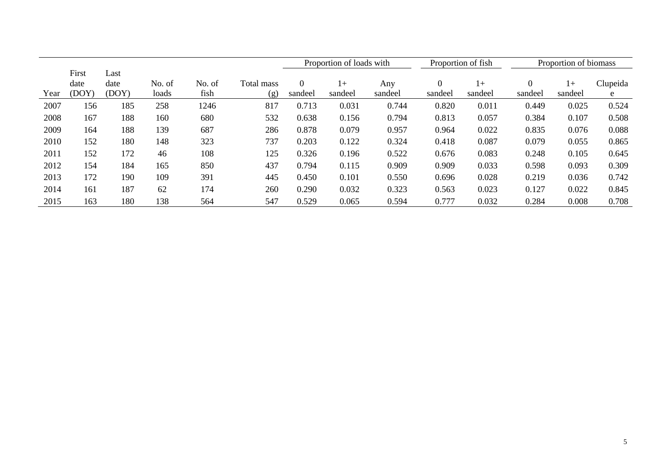|      |       |       |        |        |            | Proportion of loads with |         |         | Proportion of fish |         | Proportion of biomass |         |          |
|------|-------|-------|--------|--------|------------|--------------------------|---------|---------|--------------------|---------|-----------------------|---------|----------|
|      | First | Last  |        |        |            |                          |         |         |                    |         |                       |         |          |
|      | date  | date  | No. of | No. of | Total mass | $\Omega$                 | 1+      | Any     | 0                  | $1+$    | $\Omega$              | $1+$    | Clupeida |
| Year | (DOY) | (DOY) | loads  | fish   | (g)        | sandeel                  | sandeel | sandeel | sandeel            | sandeel | sandeel               | sandeel | e        |
| 2007 | 156   | 185   | 258    | 1246   | 817        | 0.713                    | 0.031   | 0.744   | 0.820              | 0.011   | 0.449                 | 0.025   | 0.524    |
| 2008 | 167   | 188   | 160    | 680    | 532        | 0.638                    | 0.156   | 0.794   | 0.813              | 0.057   | 0.384                 | 0.107   | 0.508    |
| 2009 | 164   | 188   | 139    | 687    | 286        | 0.878                    | 0.079   | 0.957   | 0.964              | 0.022   | 0.835                 | 0.076   | 0.088    |
| 2010 | 152   | 180   | 148    | 323    | 737        | 0.203                    | 0.122   | 0.324   | 0.418              | 0.087   | 0.079                 | 0.055   | 0.865    |
| 2011 | 152   | 172   | 46     | 108    | 125        | 0.326                    | 0.196   | 0.522   | 0.676              | 0.083   | 0.248                 | 0.105   | 0.645    |
| 2012 | 154   | 184   | 165    | 850    | 437        | 0.794                    | 0.115   | 0.909   | 0.909              | 0.033   | 0.598                 | 0.093   | 0.309    |
| 2013 | 172   | 190   | 109    | 391    | 445        | 0.450                    | 0.101   | 0.550   | 0.696              | 0.028   | 0.219                 | 0.036   | 0.742    |
| 2014 | 161   | 187   | 62     | 174    | 260        | 0.290                    | 0.032   | 0.323   | 0.563              | 0.023   | 0.127                 | 0.022   | 0.845    |
| 2015 | 163   | 180   | 138    | 564    | 547        | 0.529                    | 0.065   | 0.594   | 0.777              | 0.032   | 0.284                 | 0.008   | 0.708    |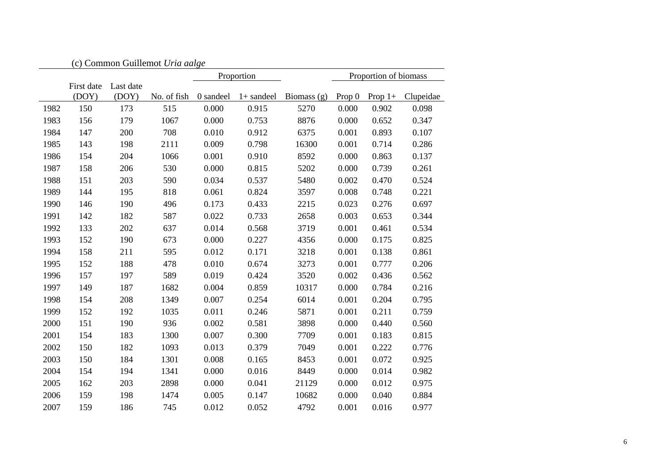|      |                     |                    | (c) Common Guillemot Uria aalge |           |              |               |          |                       |           |
|------|---------------------|--------------------|---------------------------------|-----------|--------------|---------------|----------|-----------------------|-----------|
|      |                     |                    |                                 |           | Proportion   |               |          | Proportion of biomass |           |
|      | First date<br>(DOY) | Last date<br>(DOY) | No. of fish                     | 0 sandeel | $1+$ sandeel | Biomass $(g)$ | Prop $0$ | Prop $1+$             | Clupeidae |
| 1982 | 150                 | 173                | 515                             | 0.000     | 0.915        | 5270          | 0.000    | 0.902                 | 0.098     |
| 1983 | 156                 | 179                | 1067                            | 0.000     | 0.753        | 8876          | 0.000    | 0.652                 | 0.347     |
| 1984 | 147                 | 200                | 708                             | 0.010     | 0.912        | 6375          | 0.001    | 0.893                 | 0.107     |
| 1985 | 143                 | 198                | 2111                            | 0.009     | 0.798        | 16300         | 0.001    | 0.714                 | 0.286     |
| 1986 | 154                 | 204                | 1066                            | 0.001     | 0.910        | 8592          | 0.000    | 0.863                 | 0.137     |
| 1987 | 158                 | 206                | 530                             | 0.000     | 0.815        | 5202          | 0.000    | 0.739                 | 0.261     |
| 1988 | 151                 | 203                | 590                             | 0.034     | 0.537        | 5480          | 0.002    | 0.470                 | 0.524     |
| 1989 | 144                 | 195                | 818                             | 0.061     | 0.824        | 3597          | 0.008    | 0.748                 | 0.221     |
| 1990 | 146                 | 190                | 496                             | 0.173     | 0.433        | 2215          | 0.023    | 0.276                 | 0.697     |
| 1991 | 142                 | 182                | 587                             | 0.022     | 0.733        | 2658          | 0.003    | 0.653                 | 0.344     |
| 1992 | 133                 | 202                | 637                             | 0.014     | 0.568        | 3719          | 0.001    | 0.461                 | 0.534     |
| 1993 | 152                 | 190                | 673                             | 0.000     | 0.227        | 4356          | 0.000    | 0.175                 | 0.825     |
| 1994 | 158                 | 211                | 595                             | 0.012     | 0.171        | 3218          | 0.001    | 0.138                 | 0.861     |
| 1995 | 152                 | 188                | 478                             | 0.010     | 0.674        | 3273          | 0.001    | 0.777                 | 0.206     |
| 1996 | 157                 | 197                | 589                             | 0.019     | 0.424        | 3520          | 0.002    | 0.436                 | 0.562     |
| 1997 | 149                 | 187                | 1682                            | 0.004     | 0.859        | 10317         | 0.000    | 0.784                 | 0.216     |
| 1998 | 154                 | 208                | 1349                            | 0.007     | 0.254        | 6014          | 0.001    | 0.204                 | 0.795     |
| 1999 | 152                 | 192                | 1035                            | 0.011     | 0.246        | 5871          | 0.001    | 0.211                 | 0.759     |
| 2000 | 151                 | 190                | 936                             | 0.002     | 0.581        | 3898          | 0.000    | 0.440                 | 0.560     |
| 2001 | 154                 | 183                | 1300                            | 0.007     | 0.300        | 7709          | 0.001    | 0.183                 | 0.815     |
| 2002 | 150                 | 182                | 1093                            | 0.013     | 0.379        | 7049          | 0.001    | 0.222                 | 0.776     |
| 2003 | 150                 | 184                | 1301                            | 0.008     | 0.165        | 8453          | 0.001    | 0.072                 | 0.925     |
| 2004 | 154                 | 194                | 1341                            | 0.000     | 0.016        | 8449          | 0.000    | 0.014                 | 0.982     |
| 2005 | 162                 | 203                | 2898                            | 0.000     | 0.041        | 21129         | 0.000    | 0.012                 | 0.975     |
| 2006 | 159                 | 198                | 1474                            | 0.005     | 0.147        | 10682         | 0.000    | 0.040                 | 0.884     |
| 2007 | 159                 | 186                | 745                             | 0.012     | 0.052        | 4792          | 0.001    | 0.016                 | 0.977     |

| ۰<br>M.<br>۰. |
|---------------|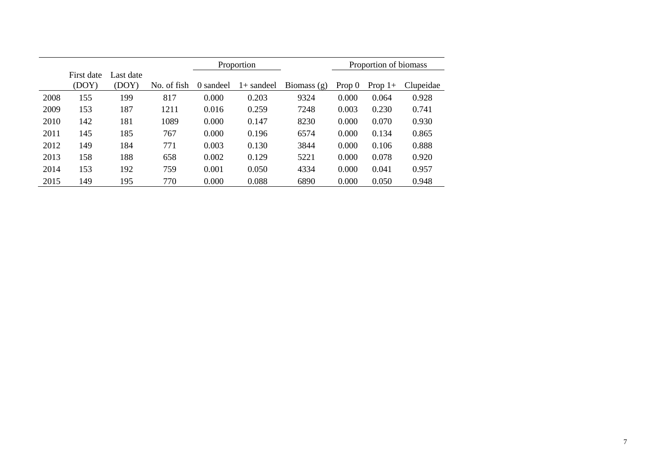|      |                     |                    |             |           | Proportion   |               |          | Proportion of biomass |           |
|------|---------------------|--------------------|-------------|-----------|--------------|---------------|----------|-----------------------|-----------|
|      | First date<br>(DOY) | Last date<br>(DOY) | No. of fish | 0 sandeel | $1+$ sandeel | Biomass $(g)$ | Prop $0$ | Prop $1+$             | Clupeidae |
|      |                     |                    |             |           |              |               |          |                       |           |
| 2008 | 155                 | 199                | 817         | 0.000     | 0.203        | 9324          | 0.000    | 0.064                 | 0.928     |
| 2009 | 153                 | 187                | 1211        | 0.016     | 0.259        | 7248          | 0.003    | 0.230                 | 0.741     |
| 2010 | 142                 | 181                | 1089        | 0.000     | 0.147        | 8230          | 0.000    | 0.070                 | 0.930     |
| 2011 | 145                 | 185                | 767         | 0.000     | 0.196        | 6574          | 0.000    | 0.134                 | 0.865     |
| 2012 | 149                 | 184                | 771         | 0.003     | 0.130        | 3844          | 0.000    | 0.106                 | 0.888     |
| 2013 | 158                 | 188                | 658         | 0.002     | 0.129        | 5221          | 0.000    | 0.078                 | 0.920     |
| 2014 | 153                 | 192                | 759         | 0.001     | 0.050        | 4334          | 0.000    | 0.041                 | 0.957     |
| 2015 | 149                 | 195                | 770         | 0.000     | 0.088        | 6890          | 0.000    | 0.050                 | 0.948     |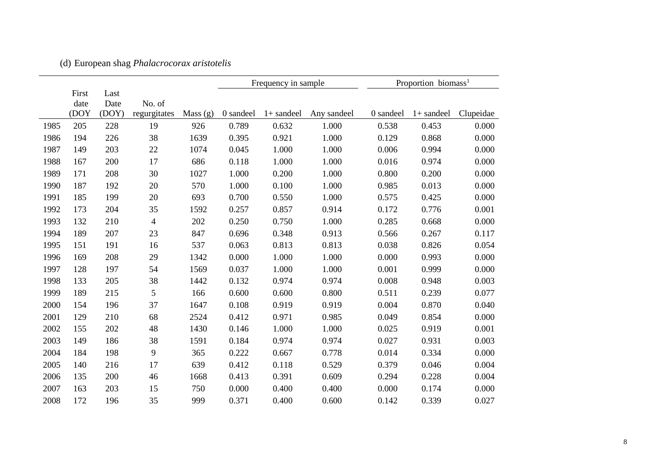|      |       |       |              |            | Frequency in sample |              |             |           | Proportion biomass <sup>1</sup> |           |
|------|-------|-------|--------------|------------|---------------------|--------------|-------------|-----------|---------------------------------|-----------|
|      | First | Last  |              |            |                     |              |             |           |                                 |           |
|      | date  | Date  | No. of       |            |                     |              |             |           |                                 |           |
|      | (DOY  | (DOY) | regurgitates | Mass $(g)$ | 0 sandeel           | $1+$ sandeel | Any sandeel | 0 sandeel | $1+$ sandeel                    | Clupeidae |
| 1985 | 205   | 228   | 19           | 926        | 0.789               | 0.632        | 1.000       | 0.538     | 0.453                           | 0.000     |
| 1986 | 194   | 226   | 38           | 1639       | 0.395               | 0.921        | 1.000       | 0.129     | 0.868                           | 0.000     |
| 1987 | 149   | 203   | 22           | 1074       | 0.045               | 1.000        | 1.000       | 0.006     | 0.994                           | 0.000     |
| 1988 | 167   | 200   | 17           | 686        | 0.118               | 1.000        | 1.000       | 0.016     | 0.974                           | 0.000     |
| 1989 | 171   | 208   | 30           | 1027       | 1.000               | 0.200        | 1.000       | 0.800     | 0.200                           | 0.000     |
| 1990 | 187   | 192   | 20           | 570        | 1.000               | 0.100        | 1.000       | 0.985     | 0.013                           | 0.000     |
| 1991 | 185   | 199   | 20           | 693        | 0.700               | 0.550        | 1.000       | 0.575     | 0.425                           | 0.000     |
| 1992 | 173   | 204   | 35           | 1592       | 0.257               | 0.857        | 0.914       | 0.172     | 0.776                           | 0.001     |
| 1993 | 132   | 210   | 4            | 202        | 0.250               | 0.750        | 1.000       | 0.285     | 0.668                           | 0.000     |
| 1994 | 189   | 207   | 23           | 847        | 0.696               | 0.348        | 0.913       | 0.566     | 0.267                           | 0.117     |
| 1995 | 151   | 191   | 16           | 537        | 0.063               | 0.813        | 0.813       | 0.038     | 0.826                           | 0.054     |
| 1996 | 169   | 208   | 29           | 1342       | 0.000               | 1.000        | 1.000       | 0.000     | 0.993                           | 0.000     |
| 1997 | 128   | 197   | 54           | 1569       | 0.037               | 1.000        | 1.000       | 0.001     | 0.999                           | 0.000     |
| 1998 | 133   | 205   | 38           | 1442       | 0.132               | 0.974        | 0.974       | 0.008     | 0.948                           | 0.003     |
| 1999 | 189   | 215   | 5            | 166        | 0.600               | 0.600        | 0.800       | 0.511     | 0.239                           | 0.077     |
| 2000 | 154   | 196   | 37           | 1647       | 0.108               | 0.919        | 0.919       | 0.004     | 0.870                           | 0.040     |
| 2001 | 129   | 210   | 68           | 2524       | 0.412               | 0.971        | 0.985       | 0.049     | 0.854                           | 0.000     |
| 2002 | 155   | 202   | 48           | 1430       | 0.146               | 1.000        | 1.000       | 0.025     | 0.919                           | 0.001     |
| 2003 | 149   | 186   | 38           | 1591       | 0.184               | 0.974        | 0.974       | 0.027     | 0.931                           | 0.003     |
| 2004 | 184   | 198   | 9            | 365        | 0.222               | 0.667        | 0.778       | 0.014     | 0.334                           | 0.000     |
| 2005 | 140   | 216   | 17           | 639        | 0.412               | 0.118        | 0.529       | 0.379     | 0.046                           | 0.004     |
| 2006 | 135   | 200   | 46           | 1668       | 0.413               | 0.391        | 0.609       | 0.294     | 0.228                           | 0.004     |
| 2007 | 163   | 203   | 15           | 750        | 0.000               | 0.400        | 0.400       | 0.000     | 0.174                           | 0.000     |
| 2008 | 172   | 196   | 35           | 999        | 0.371               | 0.400        | 0.600       | 0.142     | 0.339                           | 0.027     |

(d) European shag *Phalacrocorax aristotelis*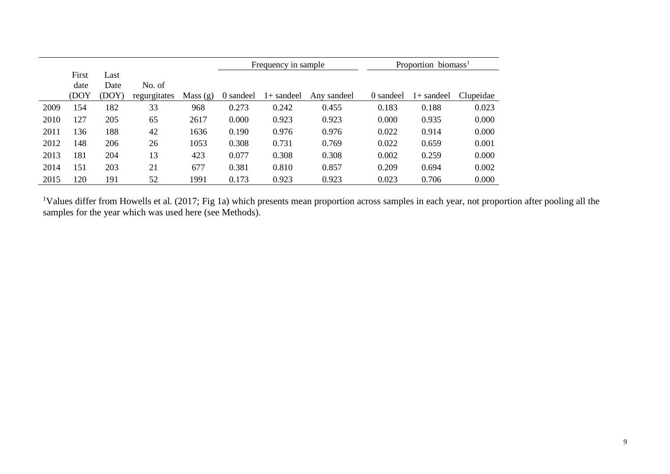|      |               |              |              |            |           | Frequency in sample |             | Proportion biomass <sup>1</sup> |              |           |  |
|------|---------------|--------------|--------------|------------|-----------|---------------------|-------------|---------------------------------|--------------|-----------|--|
|      | First<br>date | Last<br>Date | No. of       |            |           |                     |             |                                 |              |           |  |
|      | (DOY          | (DOY)        | regurgitates | Mass $(g)$ | 0 sandeel | $1+$ sandeel        | Any sandeel | 0 sandeel                       | $1+$ sandeel | Clupeidae |  |
| 2009 | 154           | 182          | 33           | 968        | 0.273     | 0.242               | 0.455       | 0.183                           | 0.188        | 0.023     |  |
| 2010 | 127           | 205          | 65           | 2617       | 0.000     | 0.923               | 0.923       | 0.000                           | 0.935        | 0.000     |  |
| 2011 | 136           | 188          | 42           | 1636       | 0.190     | 0.976               | 0.976       | 0.022                           | 0.914        | 0.000     |  |
| 2012 | 148           | 206          | 26           | 1053       | 0.308     | 0.731               | 0.769       | 0.022                           | 0.659        | 0.001     |  |
| 2013 | 181           | 204          | 13           | 423        | 0.077     | 0.308               | 0.308       | 0.002                           | 0.259        | 0.000     |  |
| 2014 | 151           | 203          | 21           | 677        | 0.381     | 0.810               | 0.857       | 0.209                           | 0.694        | 0.002     |  |
| 2015 | 120           | 191          | 52           | 1991       | 0.173     | 0.923               | 0.923       | 0.023                           | 0.706        | 0.000     |  |

<sup>1</sup>Values differ from Howells et al. (2017; Fig 1a) which presents mean proportion across samples in each year, not proportion after pooling all the samples for the year which was used here (see Methods).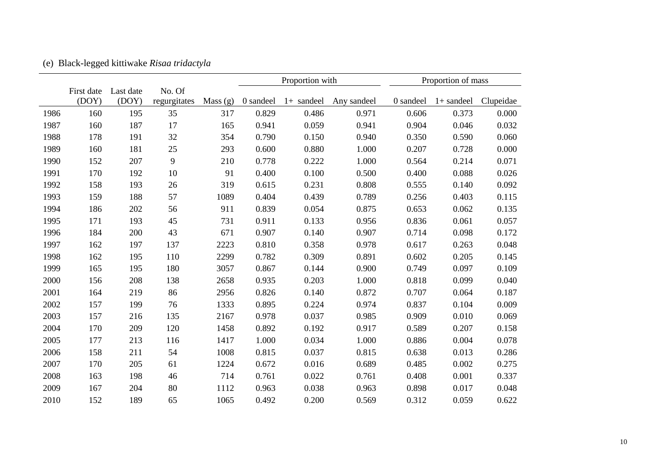|      |            |           |              |            |           | Proportion with |             |           | Proportion of mass |           |
|------|------------|-----------|--------------|------------|-----------|-----------------|-------------|-----------|--------------------|-----------|
|      | First date | Last date | No. Of       |            |           |                 |             |           |                    |           |
|      | (DOY)      | (DOY)     | regurgitates | Mass $(g)$ | 0 sandeel | $1+$ sandeel    | Any sandeel | 0 sandeel | $1+$ sandeel       | Clupeidae |
| 1986 | 160        | 195       | 35           | 317        | 0.829     | 0.486           | 0.971       | 0.606     | 0.373              | 0.000     |
| 1987 | 160        | 187       | 17           | 165        | 0.941     | 0.059           | 0.941       | 0.904     | 0.046              | 0.032     |
| 1988 | 178        | 191       | 32           | 354        | 0.790     | 0.150           | 0.940       | 0.350     | 0.590              | 0.060     |
| 1989 | 160        | 181       | 25           | 293        | 0.600     | 0.880           | 1.000       | 0.207     | 0.728              | 0.000     |
| 1990 | 152        | 207       | 9            | 210        | 0.778     | 0.222           | 1.000       | 0.564     | 0.214              | 0.071     |
| 1991 | 170        | 192       | 10           | 91         | 0.400     | 0.100           | 0.500       | 0.400     | 0.088              | 0.026     |
| 1992 | 158        | 193       | 26           | 319        | 0.615     | 0.231           | 0.808       | 0.555     | 0.140              | 0.092     |
| 1993 | 159        | 188       | 57           | 1089       | 0.404     | 0.439           | 0.789       | 0.256     | 0.403              | 0.115     |
| 1994 | 186        | 202       | 56           | 911        | 0.839     | 0.054           | 0.875       | 0.653     | 0.062              | 0.135     |
| 1995 | 171        | 193       | 45           | 731        | 0.911     | 0.133           | 0.956       | 0.836     | 0.061              | 0.057     |
| 1996 | 184        | 200       | 43           | 671        | 0.907     | 0.140           | 0.907       | 0.714     | 0.098              | 0.172     |
| 1997 | 162        | 197       | 137          | 2223       | 0.810     | 0.358           | 0.978       | 0.617     | 0.263              | 0.048     |
| 1998 | 162        | 195       | 110          | 2299       | 0.782     | 0.309           | 0.891       | 0.602     | 0.205              | 0.145     |
| 1999 | 165        | 195       | 180          | 3057       | 0.867     | 0.144           | 0.900       | 0.749     | 0.097              | 0.109     |
| 2000 | 156        | 208       | 138          | 2658       | 0.935     | 0.203           | 1.000       | 0.818     | 0.099              | 0.040     |
| 2001 | 164        | 219       | 86           | 2956       | 0.826     | 0.140           | 0.872       | 0.707     | 0.064              | 0.187     |
| 2002 | 157        | 199       | 76           | 1333       | 0.895     | 0.224           | 0.974       | 0.837     | 0.104              | 0.009     |
| 2003 | 157        | 216       | 135          | 2167       | 0.978     | 0.037           | 0.985       | 0.909     | 0.010              | 0.069     |
| 2004 | 170        | 209       | 120          | 1458       | 0.892     | 0.192           | 0.917       | 0.589     | 0.207              | 0.158     |
| 2005 | 177        | 213       | 116          | 1417       | 1.000     | 0.034           | 1.000       | 0.886     | 0.004              | 0.078     |
| 2006 | 158        | 211       | 54           | 1008       | 0.815     | 0.037           | 0.815       | 0.638     | 0.013              | 0.286     |
| 2007 | 170        | 205       | 61           | 1224       | 0.672     | 0.016           | 0.689       | 0.485     | 0.002              | 0.275     |
| 2008 | 163        | 198       | 46           | 714        | 0.761     | 0.022           | 0.761       | 0.408     | 0.001              | 0.337     |
| 2009 | 167        | 204       | 80           | 1112       | 0.963     | 0.038           | 0.963       | 0.898     | 0.017              | 0.048     |
| 2010 | 152        | 189       | 65           | 1065       | 0.492     | 0.200           | 0.569       | 0.312     | 0.059              | 0.622     |

(e) Black-legged kittiwake *Risaa tridactyla*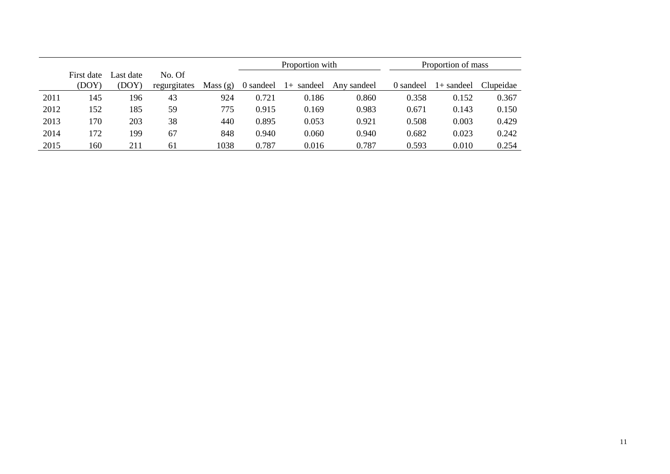|      |                     |                    |                        |         |           | Proportion with |             | Proportion of mass |            |           |  |
|------|---------------------|--------------------|------------------------|---------|-----------|-----------------|-------------|--------------------|------------|-----------|--|
|      | First date<br>(DOY) | Last date<br>(DOY) | No. Of<br>regurgitates | Mass(g) | 0 sandeel | sandeel<br>$1+$ | Any sandeel | 0 sandeel          | l+ sandeel | Clupeidae |  |
| 2011 | 145                 | 196                | 43                     | 924     | 0.721     | 0.186           | 0.860       | 0.358              | 0.152      | 0.367     |  |
| 2012 | 152                 | 185                | 59                     | 775     | 0.915     | 0.169           | 0.983       | 0.671              | 0.143      | 0.150     |  |
| 2013 | 170                 | 203                | 38                     | 440     | 0.895     | 0.053           | 0.921       | 0.508              | 0.003      | 0.429     |  |
| 2014 | 172                 | 199                | 67                     | 848     | 0.940     | 0.060           | 0.940       | 0.682              | 0.023      | 0.242     |  |
| 2015 | 160                 | 211                | 61                     | 1038    | 0.787     | 0.016           | 0.787       | 0.593              | 0.010      | 0.254     |  |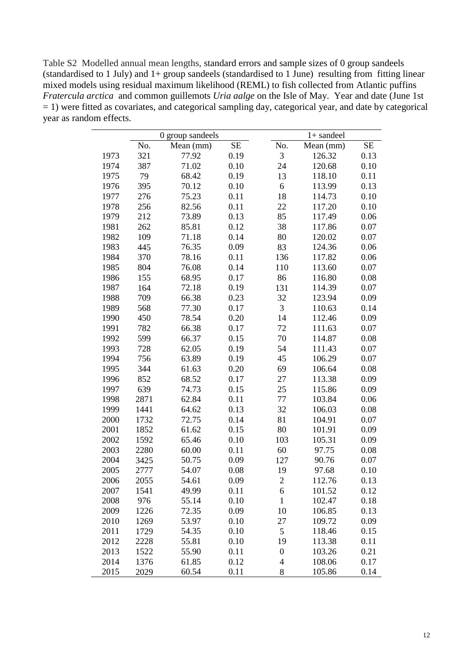Table S2 Modelled annual mean lengths, standard errors and sample sizes of 0 group sandeels (standardised to 1 July) and 1+ group sandeels (standardised to 1 June) resulting from fitting linear mixed models using residual maximum likelihood (REML) to fish collected from Atlantic puffins *Fratercula arctica* and common guillemots *Uria aalge* on the Isle of May. Year and date (June 1st  $= 1$ ) were fitted as covariates, and categorical sampling day, categorical year, and date by categorical year as random effects.

|      |      | 0 group sandeels |      |                          | $1+$ sandeel |           |
|------|------|------------------|------|--------------------------|--------------|-----------|
|      | No.  | Mean (mm)        | SE   | No.                      | Mean (mm)    | <b>SE</b> |
| 1973 | 321  | 77.92            | 0.19 | 3                        | 126.32       | 0.13      |
| 1974 | 387  | 71.02            | 0.10 | 24                       | 120.68       | 0.10      |
| 1975 | 79   | 68.42            | 0.19 | 13                       | 118.10       | 0.11      |
| 1976 | 395  | 70.12            | 0.10 | 6                        | 113.99       | 0.13      |
| 1977 | 276  | 75.23            | 0.11 | 18                       | 114.73       | 0.10      |
| 1978 | 256  | 82.56            | 0.11 | 22                       | 117.20       | 0.10      |
| 1979 | 212  | 73.89            | 0.13 | 85                       | 117.49       | 0.06      |
| 1981 | 262  | 85.81            | 0.12 | 38                       | 117.86       | 0.07      |
| 1982 | 109  | 71.18            | 0.14 | 80                       | 120.02       | 0.07      |
| 1983 | 445  | 76.35            | 0.09 | 83                       | 124.36       | 0.06      |
| 1984 | 370  | 78.16            | 0.11 | 136                      | 117.82       | 0.06      |
| 1985 | 804  | 76.08            | 0.14 | 110                      | 113.60       | 0.07      |
| 1986 | 155  | 68.95            | 0.17 | 86                       | 116.80       | 0.08      |
| 1987 | 164  | 72.18            | 0.19 | 131                      | 114.39       | 0.07      |
| 1988 | 709  | 66.38            | 0.23 | 32                       | 123.94       | 0.09      |
| 1989 | 568  | 77.30            | 0.17 | 3                        | 110.63       | 0.14      |
| 1990 | 450  | 78.54            | 0.20 | 14                       | 112.46       | 0.09      |
| 1991 | 782  | 66.38            | 0.17 | 72                       | 111.63       | 0.07      |
| 1992 | 599  | 66.37            | 0.15 | 70                       | 114.87       | 0.08      |
| 1993 | 728  | 62.05            | 0.19 | 54                       | 111.43       | 0.07      |
| 1994 | 756  | 63.89            | 0.19 | 45                       | 106.29       | 0.07      |
| 1995 | 344  | 61.63            | 0.20 | 69                       | 106.64       | 0.08      |
| 1996 | 852  | 68.52            | 0.17 | 27                       | 113.38       | 0.09      |
| 1997 | 639  | 74.73            | 0.15 | 25                       | 115.86       | 0.09      |
| 1998 | 2871 | 62.84            | 0.11 | 77                       | 103.84       | 0.06      |
| 1999 | 1441 | 64.62            | 0.13 | 32                       | 106.03       | 0.08      |
| 2000 | 1732 | 72.75            | 0.14 | 81                       | 104.91       | 0.07      |
| 2001 | 1852 | 61.62            | 0.15 | 80                       | 101.91       | 0.09      |
| 2002 | 1592 | 65.46            | 0.10 | 103                      | 105.31       | 0.09      |
| 2003 | 2280 | 60.00            | 0.11 | 60                       | 97.75        | 0.08      |
| 2004 | 3425 | 50.75            | 0.09 | 127                      | 90.76        | 0.07      |
| 2005 | 2777 | 54.07            | 0.08 | 19                       | 97.68        | 0.10      |
| 2006 | 2055 | 54.61            | 0.09 | $\overline{2}$           | 112.76       | 0.13      |
| 2007 | 1541 | 49.99            | 0.11 | 6                        | 101.52       | 0.12      |
| 2008 | 976  | 55.14            | 0.10 | $\mathbf{1}$             | 102.47       | 0.18      |
| 2009 | 1226 | 72.35            | 0.09 | 10                       | 106.85       | 0.13      |
| 2010 | 1269 | 53.97            | 0.10 | 27                       | 109.72       | 0.09      |
| 2011 | 1729 | 54.35            | 0.10 | 5                        | 118.46       | 0.15      |
| 2012 | 2228 | 55.81            | 0.10 | 19                       | 113.38       | 0.11      |
| 2013 | 1522 | 55.90            | 0.11 | $\boldsymbol{0}$         | 103.26       | 0.21      |
| 2014 | 1376 | 61.85            | 0.12 | $\overline{\mathcal{A}}$ | 108.06       | 0.17      |
| 2015 | 2029 | 60.54            | 0.11 | 8                        | 105.86       | 0.14      |